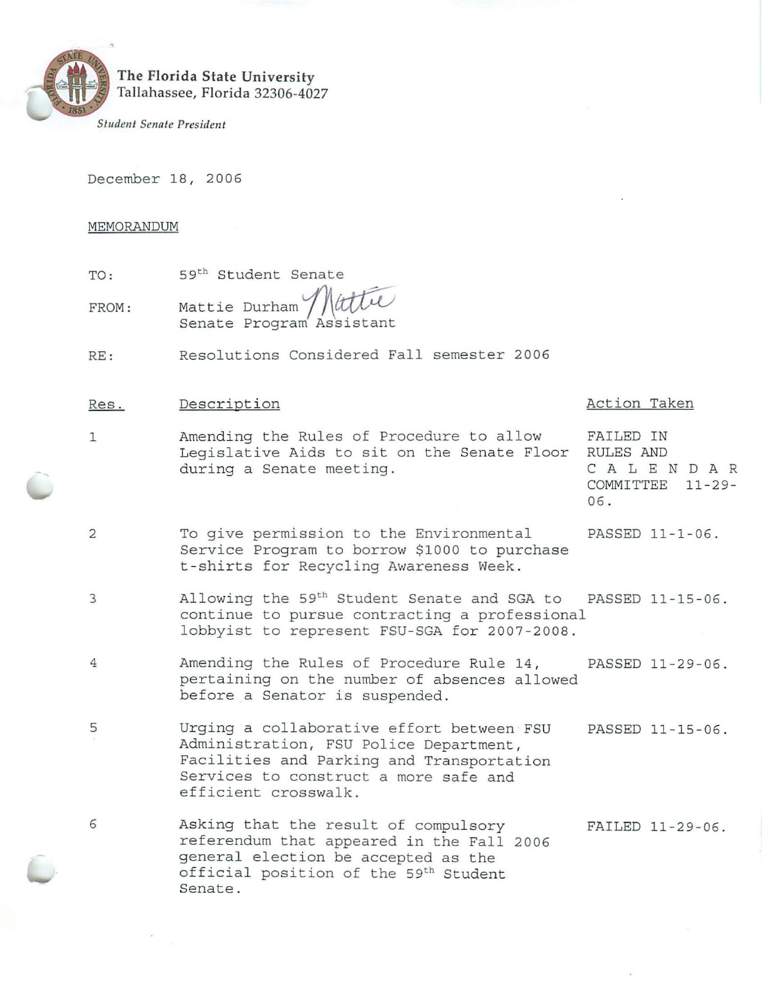

# **The Florida State University**  Tallahassee, Florida 32306-4027

*Student Senate President* 

December 18, 2006

## MEMORANDUM

- TO: 59th Student Senate
- FROM: Mattie Durham Senate Program Assistant  $rac{e}{\text{title}}$
- RE: Resolutions Considered Fall semester 2006

# Res.

## Description  $\overline{P}$  Description  $\overline{P}$

- 1 Amending the Rules of Procedure to allow FAILED IN Legislative Aids to sit on the Senate Floor RULES AND<br>during a Senate meeting. (C A L E N D A R during a Senate meeting.
	- COMMITTEE 11-29- 06.
- 2 To give permission to the Environmental PASSED 11-1-06. Service Program to borrow \$1000 to purchase <sup>t</sup> -shirts for Recycling Awareness Week.
- 3 Allowing the 59<sup>th</sup> Student Senate and SGA to PASSED 11-15-06. continue to pursue contracting a professional lobbyist to represent FSU-SGA for 2007-2008.
- 4 Amending the Rules of Procedure Rule 14, PASSED 11-29-06 . pertaining on the number of absences allowed before a Senator is suspended .
- 5 Urging a collaborative effort between FSU PASSED 11-15-06. Administration, FSU Police Department, Facilities and Parking and Transportation Services to construct a more safe and efficient crosswalk.
- 6 Asking that the result of compulsory referendum that appeared in the Fall 2006 general election be accepted as the official position of the 59<sup>th</sup> Student Senate. FAILED 11-29-06 .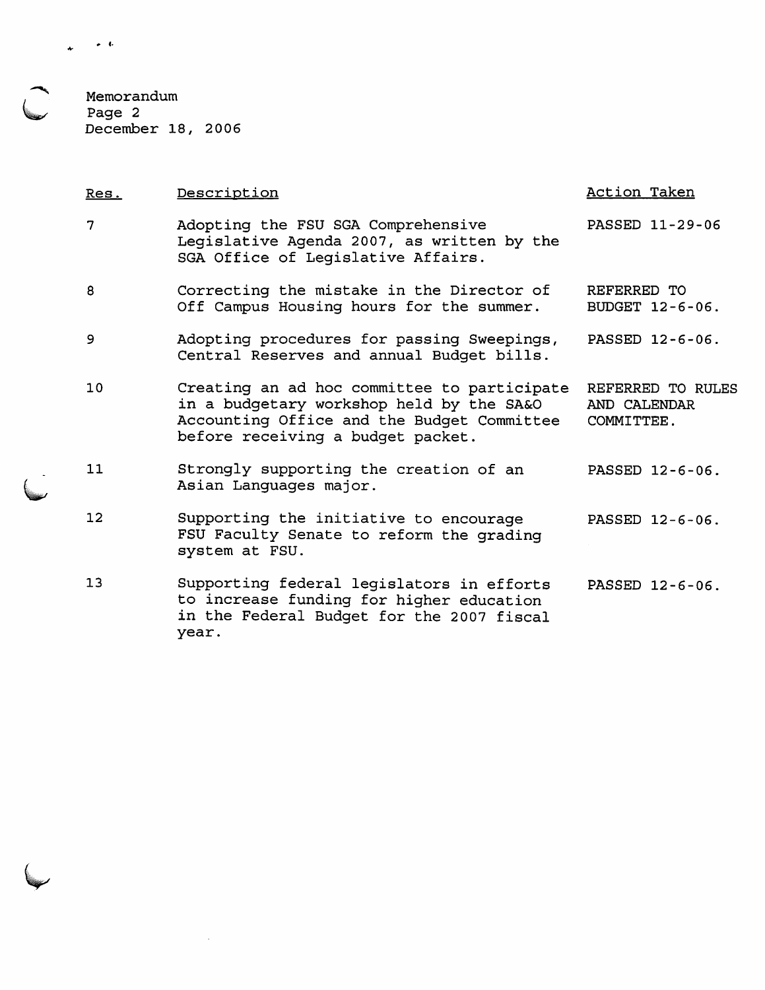$\blacktriangle$ ~ Memorandum Page 2 December 18, 2006

 $\sim$ 

| Res.              | Description                                                                                                                                                                | <b>Action Taken</b>                             |
|-------------------|----------------------------------------------------------------------------------------------------------------------------------------------------------------------------|-------------------------------------------------|
| 7                 | Adopting the FSU SGA Comprehensive<br>Legislative Agenda 2007, as written by the<br>SGA Office of Legislative Affairs.                                                     | PASSED 11-29-06                                 |
| 8                 | Correcting the mistake in the Director of<br>Off Campus Housing hours for the summer.                                                                                      | REFERRED TO<br>BUDGET 12-6-06.                  |
| 9                 | Adopting procedures for passing Sweepings,<br>Central Reserves and annual Budget bills.                                                                                    | PASSED 12-6-06.                                 |
| 10                | Creating an ad hoc committee to participate<br>in a budgetary workshop held by the SA&O<br>Accounting Office and the Budget Committee<br>before receiving a budget packet. | REFERRED TO RULES<br>AND CALENDAR<br>COMMITTEE. |
| 11                | Strongly supporting the creation of an<br>Asian Languages major.                                                                                                           | PASSED 12-6-06.                                 |
| $12 \overline{ }$ | Supporting the initiative to encourage<br>FSU Faculty Senate to reform the grading<br>system at FSU.                                                                       | PASSED 12-6-06.                                 |
| 13                | Supporting federal legislators in efforts<br>to increase funding for higher education<br>in the Federal Budget for the 2007 fiscal<br>year.                                | PASSED 12-6-06.                                 |

• f.  $\star$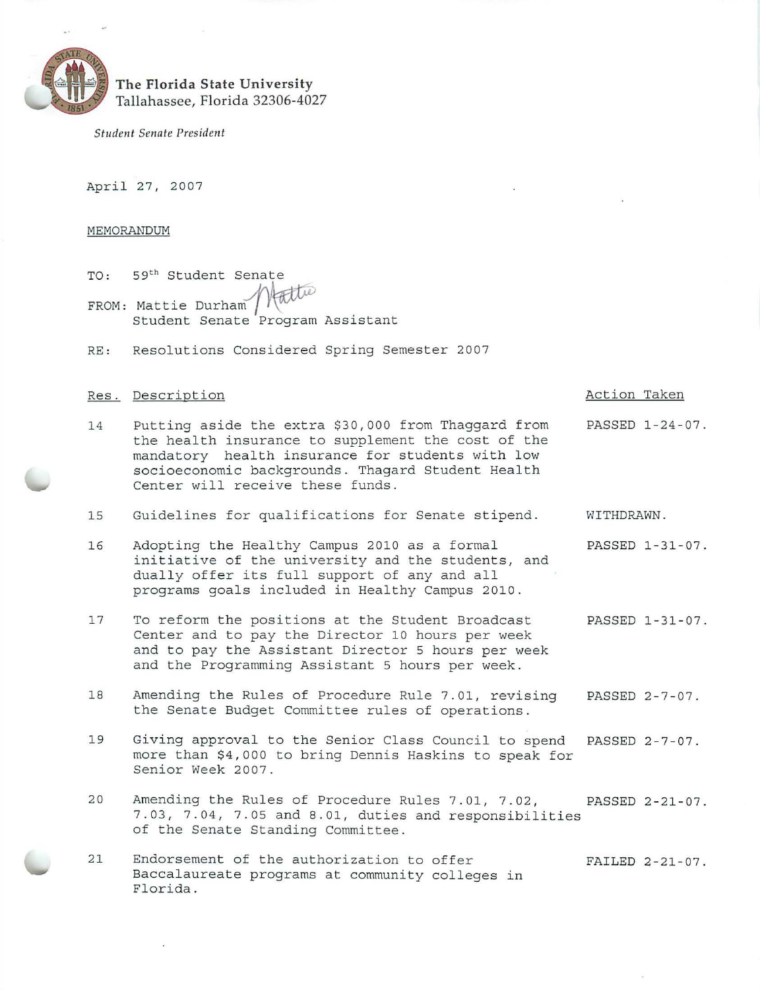

# **The Florida State University**  Tallahassee, Florida 32306-4027

*Student Senate President* 

April 27, 2007

### MEMORANDUM

- TO: FROM: Mattie Durham<br>Student Senate 59th Student Senate 59<sup>th</sup> Student Senate<br>Mattie Durham / Kalle<br>Student Senate Program Assistant
- RE: Resolutions Considered Spring Semester 2007

# Res. Description and the contraction of the contraction of the Action Taken

- 14 Putting aside the extra \$30,000 from Thaggard from PASSED 1-24-07. the health insurance to supplement the cost of the mandatory health insurance for students with low socioeconomic backgrounds. Thagard Student Health Center will receive these funds.
- 15 Guidelines for qualifications for Senate stipend. WITHDRAWN.
- 16 Adopting the Healthy Campus 2010 as a formal PASSED 1-31-07. initiative of the university and the students, and dually offer its full support of any and all programs goals included in Healthy Campus 2010.
- 17 To reform the positions at the Student Broadcast PASSED 1-31-07 . Center and to pay the Director 10 hours per week and to pay the Assistant Director 5 hours per week and the Programming Assistant 5 hours per week.
- 18 Amending the Rules of Procedure Rule 7.01, revising PASSED 2-7-07. the Senate Budget Committee rules of operations.
- 19 Giving approval to the Senior Class Council to spend PASSED 2-7-07. more than \$4 , 000 to bring Dennis Haskins to speak for Senior Week 2007.
- 20 Amending the Rules of Procedure Rules 7 . 01, 7.02, PASSED 2-21-07 . 7.03 , 7.04 , 7.05 and 8.01, dut ies and responsibil ities of the Senate Standing Committee.
- 21 Endorsement of the authorization to offer FAILED 2-21-07. Baccalaureate programs at community colleges in Florida.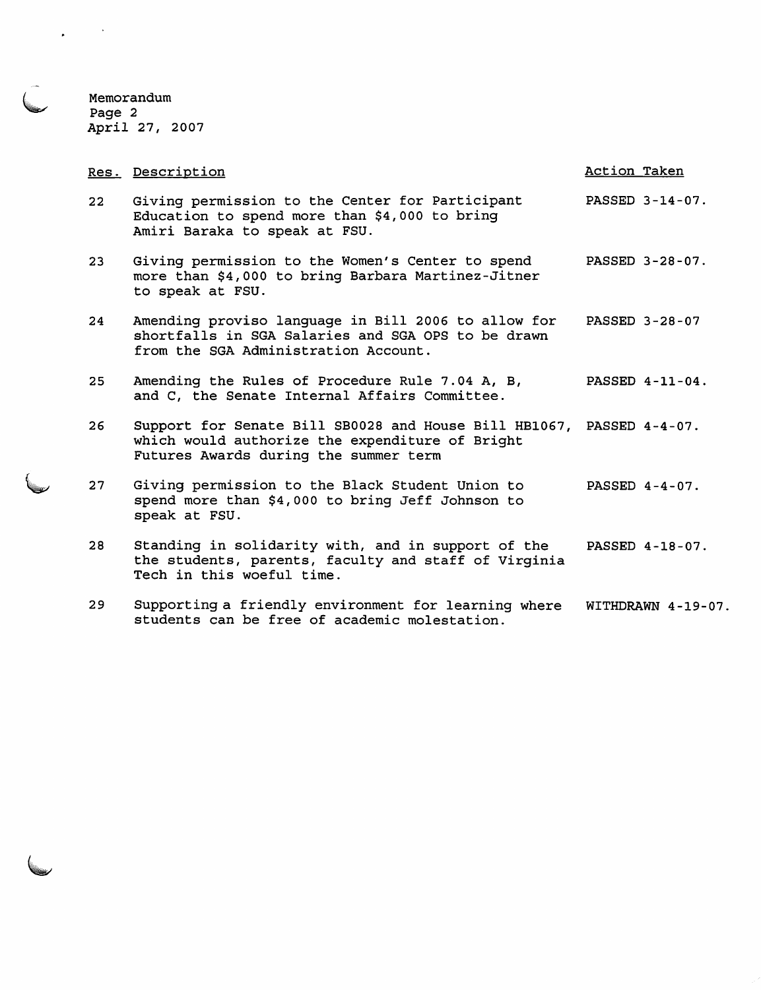Memorandum Page *2*  April 27, 2007

 $\sim 10^{11}$ 

 $\mathbf{r}$ 

|    | Res. Description                                                                                                                                                 | Action Taken          |
|----|------------------------------------------------------------------------------------------------------------------------------------------------------------------|-----------------------|
| 22 | Giving permission to the Center for Participant<br>Education to spend more than \$4,000 to bring<br>Amiri Baraka to speak at FSU.                                | PASSED 3-14-07.       |
| 23 | Giving permission to the Women's Center to spend<br>more than \$4,000 to bring Barbara Martinez-Jitner<br>to speak at FSU.                                       | PASSED 3-28-07.       |
| 24 | Amending proviso language in Bill 2006 to allow for<br>shortfalls in SGA Salaries and SGA OPS to be drawn<br>from the SGA Administration Account.                | <b>PASSED 3-28-07</b> |
| 25 | Amending the Rules of Procedure Rule 7.04 A, B,<br>and C, the Senate Internal Affairs Committee.                                                                 | PASSED 4-11-04.       |
| 26 | Support for Senate Bill SB0028 and House Bill HB1067, PASSED 4-4-07.<br>which would authorize the expenditure of Bright<br>Futures Awards during the summer term |                       |
| 27 | Giving permission to the Black Student Union to<br>spend more than \$4,000 to bring Jeff Johnson to<br>speak at FSU.                                             | PASSED $4-4-07$ .     |
| 28 | Standing in solidarity with, and in support of the<br>the students, parents, faculty and staff of Virginia<br>Tech in this woeful time.                          | PASSED 4-18-07.       |
| 29 | Supporting a friendly environment for learning where<br>students can be free of academic molestation.                                                            | WITHDRAWN 4-19-07.    |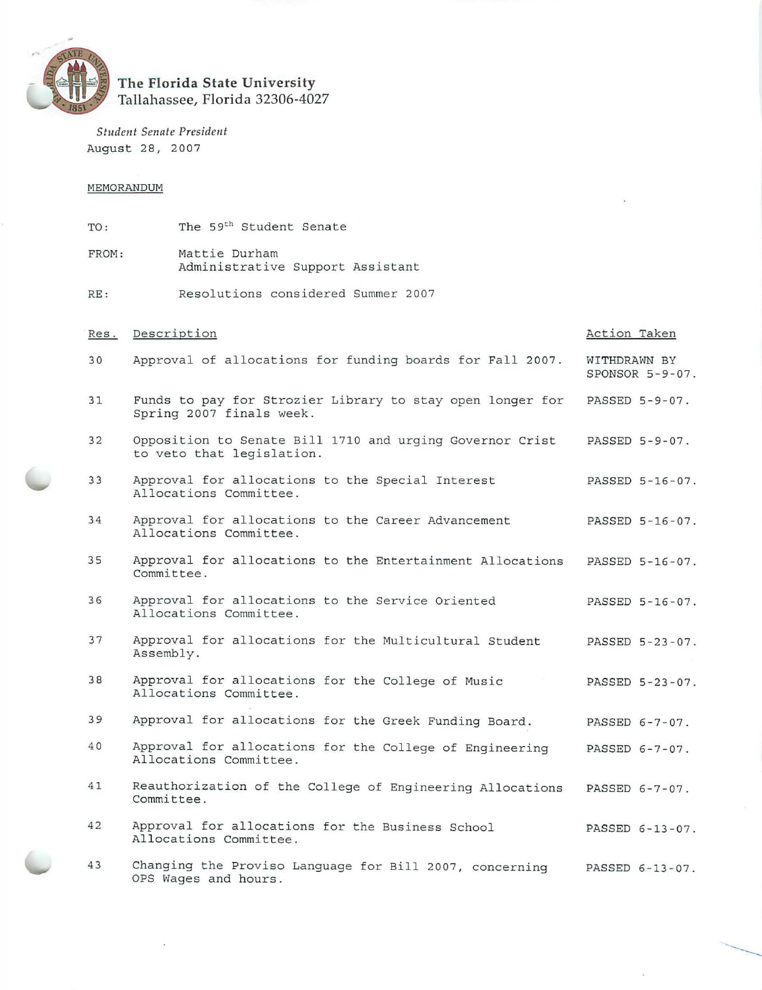

# **The Florida State University**  Tallah assee, **Florida** 32306-4027

*Student Senate President*  August 28, 2007

## MEMORANDUM

TO: The 59<sup>th</sup> Student Senate FROM: Mattie Durham Administrative Support Assistant RE: Resolutions considered Summer 2007 Res. Description 30 Approval of allocations for funding boards for Fall 2007. 31 Funds to pay for Strozier Library to stay open longer for Spring 2007 finals week . 32 Opposition to Senate Bill 1710 and urging Governor Crist to veto that legislation. 33 Approval for allocations to the Special Interest Al locations Committee. 34 Approval for allocations to the Career Advancement Allocations Committee. 35 Approval for allocations to the Entertainment Allocations Committee. 36 Approval for allocations to the Service Oriented Allocations Committee. 37 Approval for allocations for the Multicultural Student Assembly . 38 Approval for allocations for the College of Music Allocations Committee. 39 Approval for allocations for the Greek Funding Board. 40 Approval for allocations for the College of Engineering Allocations Committee. 41 Reauthorization of the College of Engineering Allocations Committee. 42 Approval for allocations for the Business School Allocations Committee. 43 Changing the Proviso Language for Bill 2007, concerning OPS Wages and hours. Action Taken WITHDRAWN BY SPONSOR 5 -9-07 . PASSED 5-9-07. PASSED 5-9-07 . PASSED 5-16 - 07. PASSED 5 - 16-07. PASSED 5 - 16 - 07. PASSED 5 - 16-07 . PASSED 5 - 23-07. PASSED 5 -23-07 . PASSED 6-7 - 07. PASSED 6-7-07. PASSED 6 - 7-07. PASSED 6-13-07. PASSED 6-13-07 .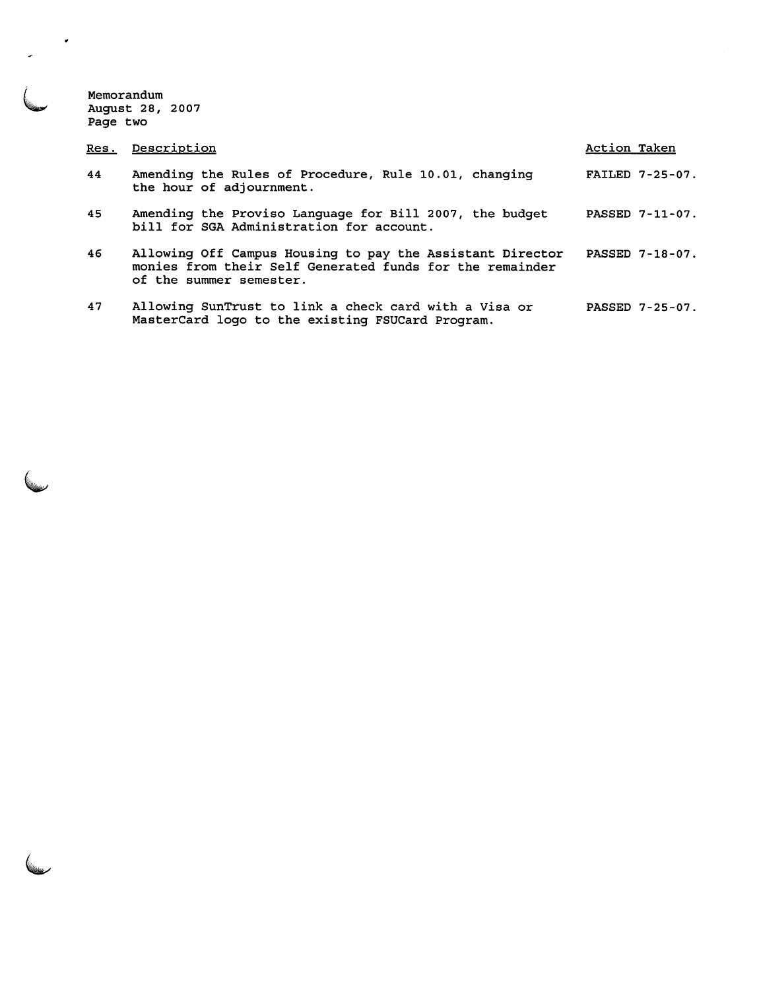Memorandum August 28, 2007 Page two

 $\mathcal{A}$ 

| Res. | Description                                                                                                                                      | Action Taken           |
|------|--------------------------------------------------------------------------------------------------------------------------------------------------|------------------------|
| 44   | Amending the Rules of Procedure, Rule 10.01, changing<br>the hour of adjournment.                                                                | <b>FAILED 7-25-07.</b> |
| 45   | Amending the Proviso Language for Bill 2007, the budget<br>bill for SGA Administration for account.                                              | PASSED 7-11-07.        |
| 46   | Allowing Off Campus Housing to pay the Assistant Director<br>monies from their Self Generated funds for the remainder<br>of the summer semester. | PASSED 7-18-07.        |
| 47   | Allowing SunTrust to link a check card with a Visa or                                                                                            | PASSED 7-25-07.        |

MasterCard logo to the existing FSUCard Program.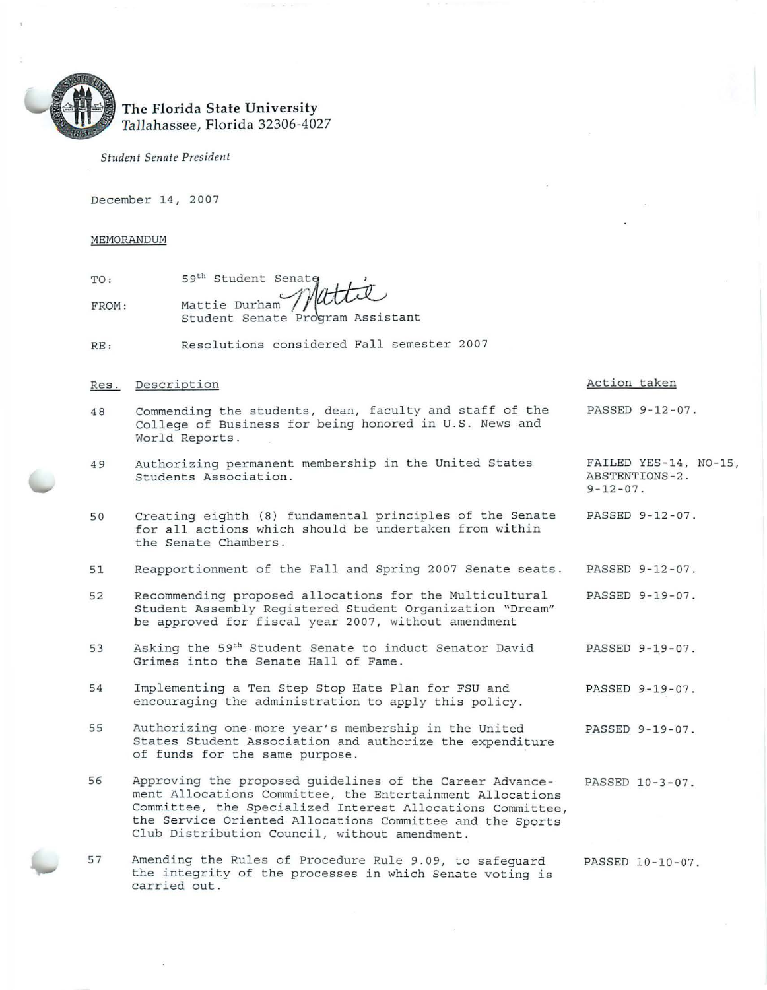

# The Florida State University<br>Tallahassee, Florida 32306-4027

*Student Senate President* 

December 14, 2007

## MEMORANDUM

| TO:   |                                              |
|-------|----------------------------------------------|
| FROM: | 59th Student Senate<br>Mattie Durham //uttil |
|       | Student Senate Program Assistant             |

RE : Resolutions considered Fall semester 2007

Res. Description

## Action taken

PASSED 9-12-07.

ABSTENTIONS-2.

PASSED 9- 12-07.

 $9 - 12 - 07$ .

FAILED YES-14, N0-15,

- 48 Commending the students, dean, faculty and staff of the College of Business for being honored in U.S . News and World Reports.
- 49 Authorizing permanent membership in the United States Students Association.
- 50 Creating eighth (8) fundamental principles of the Senate for all actions which should be undertaken from within the Senate Chambers.
- 51 Reapportionment of the Fall and Spring 2007 Senate seats. PASSED 9-12-07.
- 52 Recommending proposed allocations for the Multicultural Student Assembly Registered Student Organization "Dream" be approved for fiscal year 2007, without amendment PASSED 9-19-07.
- 53 Asking the 59th Student Senate to induct Senator David Grimes into the Senate Hall of Fame . PASSED 9-19-07.
- 54 Implementing a Ten Step Stop Hate Plan for FSU and encouraging the administration to apply this policy. PASSED 9-19-07.
- 55 Authorizing one -more year's membership in the United States Student Association and authorize the expenditure of funds for the same purpose. PASSED 9-19-07.
- 56 Approving the proposed guidelines of the Career Advancement Allocations Committee, the Entertainment Allocations Committee, the Specialized Interest Allocations Committee, the Service Oriented Allocations Committee and the Sports Club Distribution Council, without amendment. PASSED 10-3-07.
- 57 Amending the Rules of Procedure Rule 9.09, to safeguard the integrity of the processes in which Senate voting is carried out . PASSED 10-10-07.